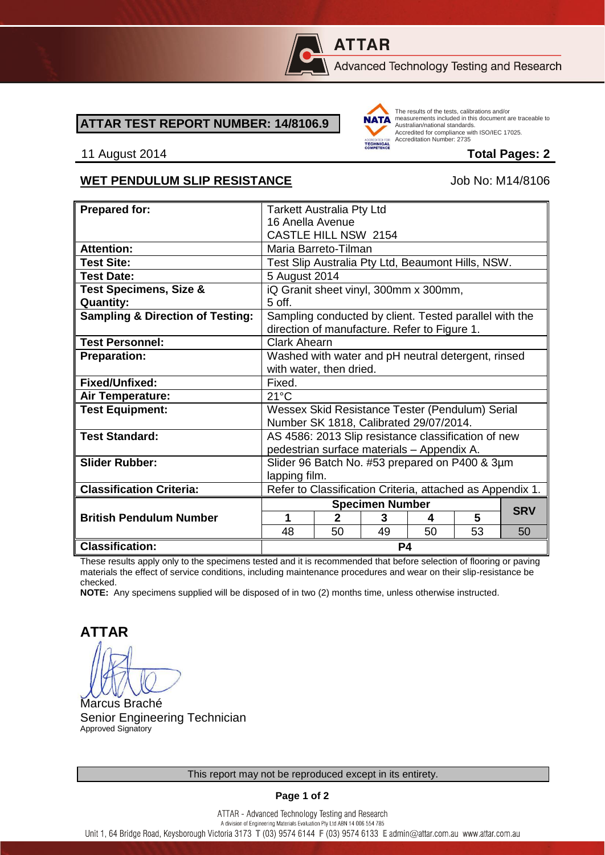

# **ATTAR**

Advanced Technology Testing and Research

#### **ATTAR TEST REPORT NUMBER: 14/8106.9**



The results of the tests, calibrations and/or measurements included in this document are traceable to Australian/national standards. Adstrational Midtonian Standards:<br>Accredited for compliance with ISO/IEC 17025. Accreditation Number: 2735

#### 11 August 2014 **Total Pages: 2**

#### WET PENDULUM SLIP RESISTANCE Job No: M14/8106

| <b>Prepared for:</b>                        | <b>Tarkett Australia Pty Ltd</b>                                                                       |              |    |    |    |            |
|---------------------------------------------|--------------------------------------------------------------------------------------------------------|--------------|----|----|----|------------|
|                                             | 16 Anella Avenue                                                                                       |              |    |    |    |            |
|                                             | <b>CASTLE HILL NSW 2154</b>                                                                            |              |    |    |    |            |
| <b>Attention:</b>                           | Maria Barreto-Tilman                                                                                   |              |    |    |    |            |
| <b>Test Site:</b>                           | Test Slip Australia Pty Ltd, Beaumont Hills, NSW.                                                      |              |    |    |    |            |
| <b>Test Date:</b>                           | 5 August 2014                                                                                          |              |    |    |    |            |
| <b>Test Specimens, Size &amp;</b>           | iQ Granit sheet vinyl, 300mm x 300mm,                                                                  |              |    |    |    |            |
| <b>Quantity:</b>                            | 5 off.                                                                                                 |              |    |    |    |            |
| <b>Sampling &amp; Direction of Testing:</b> | Sampling conducted by client. Tested parallel with the<br>direction of manufacture. Refer to Figure 1. |              |    |    |    |            |
| <b>Test Personnel:</b>                      | <b>Clark Ahearn</b>                                                                                    |              |    |    |    |            |
| <b>Preparation:</b>                         | Washed with water and pH neutral detergent, rinsed                                                     |              |    |    |    |            |
|                                             | with water, then dried.                                                                                |              |    |    |    |            |
| Fixed/Unfixed:                              | Fixed.                                                                                                 |              |    |    |    |            |
| Air Temperature:                            | $21^{\circ}$ C                                                                                         |              |    |    |    |            |
| <b>Test Equipment:</b>                      | Wessex Skid Resistance Tester (Pendulum) Serial                                                        |              |    |    |    |            |
|                                             | Number SK 1818, Calibrated 29/07/2014.                                                                 |              |    |    |    |            |
| <b>Test Standard:</b>                       | AS 4586: 2013 Slip resistance classification of new                                                    |              |    |    |    |            |
|                                             | pedestrian surface materials - Appendix A.                                                             |              |    |    |    |            |
| <b>Slider Rubber:</b>                       | Slider 96 Batch No. #53 prepared on P400 & 3µm                                                         |              |    |    |    |            |
|                                             | lapping film.                                                                                          |              |    |    |    |            |
| <b>Classification Criteria:</b>             | Refer to Classification Criteria, attached as Appendix 1.                                              |              |    |    |    |            |
|                                             | <b>Specimen Number</b>                                                                                 |              |    |    |    | <b>SRV</b> |
| <b>British Pendulum Number</b>              | 1                                                                                                      | $\mathbf{2}$ | 3  | 4  | 5  |            |
|                                             | 48                                                                                                     | 50           | 49 | 50 | 53 | 50         |
| <b>Classification:</b>                      | P4                                                                                                     |              |    |    |    |            |

These results apply only to the specimens tested and it is recommended that before selection of flooring or paving materials the effect of service conditions, including maintenance procedures and wear on their slip-resistance be checked.

**NOTE:** Any specimens supplied will be disposed of in two (2) months time, unless otherwise instructed.

**ATTAR**

Marcus Braché Senior Engineering Technician Approved Signatory

**Page 1 of 2**